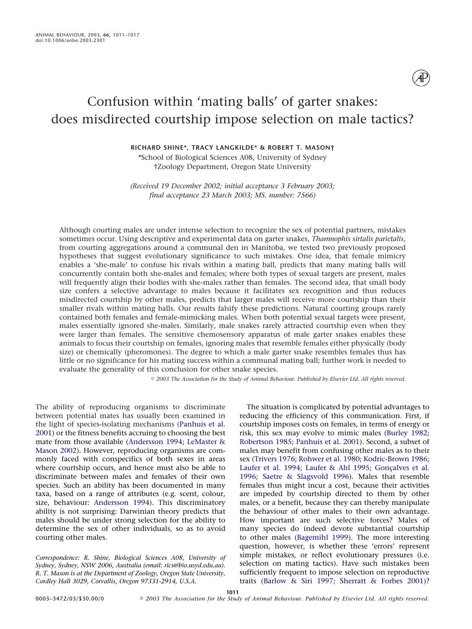# Confusion within 'mating balls' of garter snakes: does misdirected courtship impose selection on male tactics?

## **RICHARD SHINE\*, TRACY LANGKILDE\* & ROBERT T. MASON†** \*School of Biological Sciences A08, University of Sydney

†Zoology Department, Oregon State University

*(Received 19 December 2002; initial acceptance 3 February 2003; final acceptance 23 March 2003; MS. number: 7566)*

Although courting males are under intense selection to recognize the sex of potential partners, mistakes sometimes occur. Using descriptive and experimental data on garter snakes, *Thamnophis sirtalis parietalis*, from courting aggregations around a communal den in Manitoba, we tested two previously proposed hypotheses that suggest evolutionary significance to such mistakes. One idea, that female mimicry enables a 'she-male' to confuse his rivals within a mating ball, predicts that many mating balls will concurrently contain both she-males and females; where both types of sexual targets are present, males will frequently align their bodies with she-males rather than females. The second idea, that small body size confers a selective advantage to males because it facilitates sex recognition and thus reduces misdirected courtship by other males, predicts that larger males will receive more courtship than their smaller rivals within mating balls. Our results falsify these predictions. Natural courting groups rarely contained both females and female-mimicking males. When both potential sexual targets were present, males essentially ignored she-males. Similarly, male snakes rarely attracted courtship even when they were larger than females. The sensitive chemosensory apparatus of male garter snakes enables these animals to focus their courtship on females, ignoring males that resemble females either physically (body size) or chemically (pheromones). The degree to which a male garter snake resembles females thus has little or no significance for his mating success within a communal mating ball; further work is needed to evaluate the generality of this conclusion for other snake species.

*2003 The Association for the Study of Animal Behaviour. Published by Elsevier Ltd. All rights reserved.*

The ability of reproducing organisms to discriminate between potential mates has usually been examined in the light of species-isolating mechanisms [\(Panhuis et al.](#page-5-0) [2001\)](#page-5-0) or the fitness benefits accruing to choosing the best mate from those available [\(Andersson 1994;](#page-5-1) [LeMaster &](#page-5-2) [Mason 2002\)](#page-5-2). However, reproducing organisms are commonly faced with conspecifics of both sexes in areas where courtship occurs, and hence must also be able to discriminate between males and females of their own species. Such an ability has been documented in many taxa, based on a range of attributes (e.g. scent, colour, size, behaviour: [Andersson 1994\)](#page-5-1). This discriminatory ability is not surprising: Darwinian theory predicts that males should be under strong selection for the ability to determine the sex of other individuals, so as to avoid courting other males.

*Correspondence: R. Shine, Biological Sciences A08, University of Sydney, Sydney, NSW 2006, Australia (email: rics@bio.usyd.edu.au). R. T. Mason is at the Department of Zoology, Oregon State University, Cordley Hall 3029, Corvallis, Oregon 97331-2914, U.S.A.*

The situation is complicated by potential advantages to reducing the efficiency of this communication. First, if courtship imposes costs on females, in terms of energy or risk, this sex may evolve to mimic males [\(Burley 1982;](#page-5-3) [Robertson 1985;](#page-5-4) [Panhuis et al. 2001\)](#page-5-0). Second, a subset of males may benefit from confusing other males as to their sex [\(Trivers 1976;](#page-6-0) [Rohwer et al. 1980;](#page-5-5) [Kodric-Brown 1986;](#page-5-6) [Laufer et al. 1994;](#page-5-7) [Laufer & Ahl 1995;](#page-5-8) Gonçalves et al. [1996;](#page-5-9) [Saetre & Slagsvold 1996\)](#page-5-10). Males that resemble females thus might incur a cost, because their activities are impeded by courtship directed to them by other males, or a benefit, because they can thereby manipulate the behaviour of other males to their own advantage. How important are such selective forces? Males of many species do indeed devote substantial courtship to other males [\(Bagemihl 1999\)](#page-5-11). The more interesting question, however, is whether these 'errors' represent simple mistakes, or reflect evolutionary pressures (i.e. selection on mating tactics). Have such mistakes been sufficiently frequent to impose selection on reproductive traits [\(Barlow & Siri 1997;](#page-5-12) [Sherratt & Forbes 2001\)](#page-5-13)?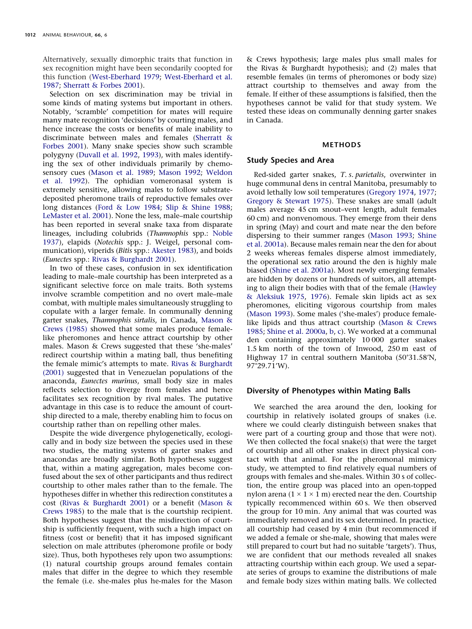Alternatively, sexually dimorphic traits that function in sex recognition might have been secondarily coopted for this function [\(West-Eberhard 1979;](#page-6-1) [West-Eberhard et al.](#page-6-2) [1987;](#page-6-2) [Sherratt & Forbes 2001\)](#page-5-13).

Selection on sex discrimination may be trivial in some kinds of mating systems but important in others. Notably, 'scramble' competition for mates will require many mate recognition 'decisions' by courting males, and hence increase the costs or benefits of male inability to discriminate between males and females [\(Sherratt &](#page-5-13) [Forbes 2001\)](#page-5-13). Many snake species show such scramble polygyny [\(Duvall et al. 1992,](#page-5-14) [1993\)](#page-5-15), with males identifying the sex of other individuals primarily by chemosensory cues [\(Mason et al. 1989;](#page-5-16) [Mason 1992;](#page-5-17) [Weldon](#page-6-3) [et al. 1992\)](#page-6-3). The ophidian vomeronasal system is extremely sensitive, allowing males to follow substratedeposited pheromone trails of reproductive females over long distances [\(Ford & Low 1984;](#page-5-18) [Slip & Shine 1988;](#page-6-4) [LeMaster et al. 2001\)](#page-5-19). None the less, male–male courtship has been reported in several snake taxa from disparate lineages, including colubrids (*Thamnophis* spp.: [Noble](#page-5-20) [1937\)](#page-5-20), elapids (*Notechis* spp.: J. Weigel, personal communication), viperids (*Bitis* spp.: [Akester 1983\)](#page-5-21), and boids (*Eunectes* spp.: [Rivas & Burghardt 2001\)](#page-5-22).

In two of these cases, confusion in sex identification leading to male–male courtship has been interpreted as a significant selective force on male traits. Both systems involve scramble competition and no overt male–male combat, with multiple males simultaneously struggling to copulate with a larger female. In communally denning garter snakes, *Thamnophis sirtalis*, in Canada, [Mason &](#page-5-23) [Crews \(1985\)](#page-5-23) showed that some males produce femalelike pheromones and hence attract courtship by other males. Mason & Crews suggested that these 'she-males' redirect courtship within a mating ball, thus benefiting the female mimic's attempts to mate. [Rivas & Burghardt](#page-5-22) [\(2001\)](#page-5-22) suggested that in Venezuelan populations of the anaconda, *Eunectes murinus*, small body size in males reflects selection to diverge from females and hence facilitates sex recognition by rival males. The putative advantage in this case is to reduce the amount of courtship directed to a male, thereby enabling him to focus on courtship rather than on repelling other males.

Despite the wide divergence phylogenetically, ecologically and in body size between the species used in these two studies, the mating systems of garter snakes and anacondas are broadly similar. Both hypotheses suggest that, within a mating aggregation, males become confused about the sex of other participants and thus redirect courtship to other males rather than to the female. The hypotheses differ in whether this redirection constitutes a cost [\(Rivas & Burghardt 2001\)](#page-5-22) or a benefit [\(Mason &](#page-5-23) [Crews 1985\)](#page-5-23) to the male that is the courtship recipient. Both hypotheses suggest that the misdirection of courtship is sufficiently frequent, with such a high impact on fitness (cost or benefit) that it has imposed significant selection on male attributes (pheromone profile or body size). Thus, both hypotheses rely upon two assumptions: (1) natural courtship groups around females contain males that differ in the degree to which they resemble the female (i.e. she-males plus he-males for the Mason & Crews hypothesis; large males plus small males for the Rivas & Burghardt hypothesis); and (2) males that resemble females (in terms of pheromones or body size) attract courtship to themselves and away from the female. If either of these assumptions is falsified, then the hypotheses cannot be valid for that study system. We tested these ideas on communally denning garter snakes in Canada.

#### **METHODS**

#### **Study Species and Area**

Red-sided garter snakes, *T. s. parietalis*, overwinter in huge communal dens in central Manitoba, presumably to avoid lethally low soil temperatures [\(Gregory 1974,](#page-5-24) [1977;](#page-5-25) [Gregory & Stewart 1975\)](#page-5-26). These snakes are small (adult males average 45 cm snout–vent length, adult females 60 cm) and nonvenomous. They emerge from their dens in spring (May) and court and mate near the den before dispersing to their summer ranges [\(Mason 1993;](#page-5-27) [Shine](#page-5-28) [et al. 2001a\)](#page-5-28). Because males remain near the den for about 2 weeks whereas females disperse almost immediately, the operational sex ratio around the den is highly male biased [\(Shine et al. 2001a\)](#page-5-28). Most newly emerging females are hidden by dozens or hundreds of suitors, all attempting to align their bodies with that of the female [\(Hawley](#page-5-29) [& Aleksiuk 1975,](#page-5-29) [1976\)](#page-5-30). Female skin lipids act as sex pheromones, eliciting vigorous courtship from males [\(Mason 1993\)](#page-5-27). Some males ('she-males') produce femalelike lipids and thus attract courtship [\(Mason & Crews](#page-5-23) [1985;](#page-5-23) [Shine et al. 2000a,](#page-5-31) [b,](#page-5-32) [c\)](#page-5-33). We worked at a communal den containing approximately 10 000 garter snakes 1.5 km north of the town of Inwood, 250 m east of Highway 17 in central southern Manitoba (50°31.58'N, 97°29.71′W).

#### **Diversity of Phenotypes within Mating Balls**

We searched the area around the den, looking for courtship in relatively isolated groups of snakes (i.e. where we could clearly distinguish between snakes that were part of a courting group and those that were not). We then collected the focal snake(s) that were the target of courtship and all other snakes in direct physical contact with that animal. For the pheromonal mimicry study, we attempted to find relatively equal numbers of groups with females and she-males. Within 30 s of collection, the entire group was placed into an open-topped nylon arena ( $1 \times 1 \times 1$  m) erected near the den. Courtship typically recommenced within 60 s. We then observed the group for 10 min. Any animal that was courted was immediately removed and its sex determined. In practice, all courtship had ceased by 4 min (but recommenced if we added a female or she-male, showing that males were still prepared to court but had no suitable 'targets'). Thus, we are confident that our methods revealed all snakes attracting courtship within each group. We used a separate series of groups to examine the distributions of male and female body sizes within mating balls. We collected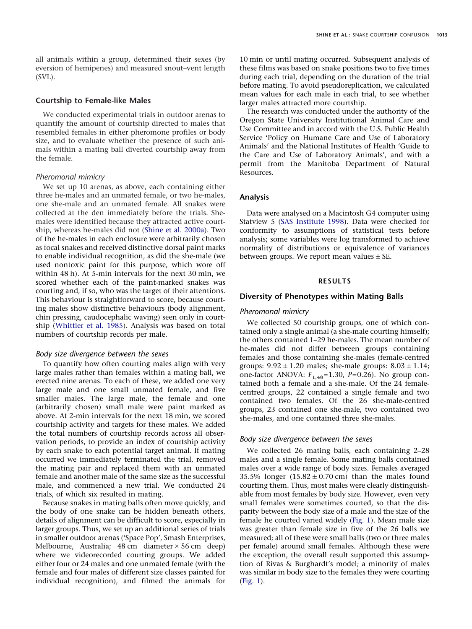all animals within a group, determined their sexes (by eversion of hemipenes) and measured snout–vent length (SVL).

#### **Courtship to Female-like Males**

We conducted experimental trials in outdoor arenas to quantify the amount of courtship directed to males that resembled females in either pheromone profiles or body size, and to evaluate whether the presence of such animals within a mating ball diverted courtship away from the female.

#### *Pheromonal mimicry*

We set up 10 arenas, as above, each containing either three he-males and an unmated female, or two he-males, one she-male and an unmated female. All snakes were collected at the den immediately before the trials. Shemales were identified because they attracted active courtship, whereas he-males did not [\(Shine et al. 2000a\)](#page-5-31). Two of the he-males in each enclosure were arbitrarily chosen as focal snakes and received distinctive dorsal paint marks to enable individual recognition, as did the she-male (we used nontoxic paint for this purpose, which wore off within 48 h). At 5-min intervals for the next 30 min, we scored whether each of the paint-marked snakes was courting and, if so, who was the target of their attentions. This behaviour is straightforward to score, because courting males show distinctive behaviours (body alignment, chin pressing, caudocephalic waving) seen only in courtship [\(Whittier et al. 1985\)](#page-6-5). Analysis was based on total numbers of courtship records per male.

#### *Body size divergence between the sexes*

To quantify how often courting males align with very large males rather than females within a mating ball, we erected nine arenas. To each of these, we added one very large male and one small unmated female, and five smaller males. The large male, the female and one (arbitrarily chosen) small male were paint marked as above. At 2-min intervals for the next 18 min, we scored courtship activity and targets for these males. We added the total numbers of courtship records across all observation periods, to provide an index of courtship activity by each snake to each potential target animal. If mating occurred we immediately terminated the trial, removed the mating pair and replaced them with an unmated female and another male of the same size as the successful male, and commenced a new trial. We conducted 24 trials, of which six resulted in mating.

Because snakes in mating balls often move quickly, and the body of one snake can be hidden beneath others, details of alignment can be difficult to score, especially in larger groups. Thus, we set up an additional series of trials in smaller outdoor arenas ('Space Pop', Smash Enterprises, Melbourne, Australia; 48 cm diameter  $\times$  56 cm deep) where we videorecorded courting groups. We added either four or 24 males and one unmated female (with the female and four males of different size classes painted for individual recognition), and filmed the animals for

10 min or until mating occurred. Subsequent analysis of these films was based on snake positions two to five times during each trial, depending on the duration of the trial before mating. To avoid pseudoreplication, we calculated mean values for each male in each trial, to see whether larger males attracted more courtship.

The research was conducted under the authority of the Oregon State University Institutional Animal Care and Use Committee and in accord with the U.S. Public Health Service 'Policy on Humane Care and Use of Laboratory Animals' and the National Institutes of Health 'Guide to the Care and Use of Laboratory Animals', and with a permit from the Manitoba Department of Natural Resources.

#### **Analysis**

Data were analysed on a Macintosh G4 computer using Statview 5 [\(SAS Institute 1998\)](#page-5-34). Data were checked for conformity to assumptions of statistical tests before analysis; some variables were log transformed to achieve normality of distributions or equivalence of variances between groups. We report mean values  $\pm$  SE.

#### **RESULTS**

#### **Diversity of Phenotypes within Mating Balls**

#### *Pheromonal mimicry*

We collected 50 courtship groups, one of which contained only a single animal (a she-male courting himself); the others contained 1–29 he-males. The mean number of he-males did not differ between groups containing females and those containing she-males (female-centred groups:  $9.92 \pm 1.20$  males; she-male groups:  $8.03 \pm 1.14$ ; one-factor ANOVA:  $F_{1,48}$ =1.30, *P*=0.26). No group contained both a female and a she-male. Of the 24 femalecentred groups, 22 contained a single female and two contained two females. Of the 26 she-male-centred groups, 23 contained one she-male, two contained two she-males, and one contained three she-males.

#### *Body size divergence between the sexes*

We collected 26 mating balls, each containing 2–28 males and a single female. Some mating balls contained males over a wide range of body sizes. Females averaged 35.5% longer  $(15.82 \pm 0.70 \text{ cm})$  than the males found courting them. Thus, most males were clearly distinguishable from most females by body size. However, even very small females were sometimes courted, so that the disparity between the body size of a male and the size of the female he courted varied widely [\(Fig. 1\)](#page-3-0). Mean male size was greater than female size in five of the 26 balls we measured; all of these were small balls (two or three males per female) around small females. Although these were the exception, the overall result supported this assumption of Rivas & Burghardt's model; a minority of males was similar in body size to the females they were courting [\(Fig. 1\)](#page-3-0).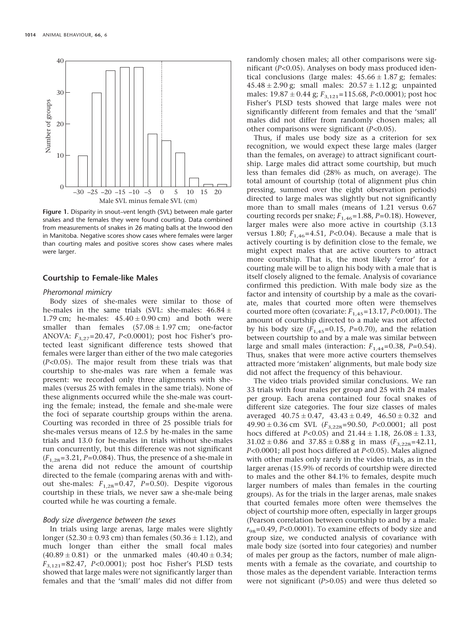<span id="page-3-0"></span>

**Figure 1.** Disparity in snout–vent length (SVL) between male garter snakes and the females they were found courting. Data combined from measurements of snakes in 26 mating balls at the Inwood den in Manitoba. Negative scores show cases where females were larger than courting males and positive scores show cases where males were larger.

#### **Courtship to Female-like Males**

#### *Pheromonal mimicry*

Body sizes of she-males were similar to those of he-males in the same trials (SVL: she-males:  $46.84 \pm$ 1.79 cm; he-males:  $45.40 \pm 0.90$  cm) and both were smaller than females  $(57.08 \pm 1.97 \text{ cm})$ ; one-factor ANOVA: *F*3,27=20.47, *P<*0.0001); post hoc Fisher's protected least significant difference tests showed that females were larger than either of the two male categories (*P<*0.05). The major result from these trials was that courtship to she-males was rare when a female was present: we recorded only three alignments with shemales (versus 25 with females in the same trials). None of these alignments occurred while the she-male was courting the female; instead, the female and she-male were the foci of separate courtship groups within the arena. Courting was recorded in three of 25 possible trials for she-males versus means of 12.5 by he-males in the same trials and 13.0 for he-males in trials without she-males run concurrently, but this difference was not significant  $(F_{1,28}=3.21, P=0.084)$ . Thus, the presence of a she-male in the arena did not reduce the amount of courtship directed to the female (comparing arenas with and without she-males:  $F_{1,28}$ =0.47, *P*=0.50). Despite vigorous courtship in these trials, we never saw a she-male being courted while he was courting a female.

#### *Body size divergence between the sexes*

In trials using large arenas, large males were slightly longer (52.30  $\pm$  0.93 cm) than females (50.36  $\pm$  1.12), and much longer than either the small focal males  $(40.89 \pm 0.81)$  or the unmarked males  $(40.40 \pm 0.34;$ *F*3,121=82.47, *P<*0.0001); post hoc Fisher's PLSD tests showed that large males were not significantly larger than females and that the 'small' males did not differ from randomly chosen males; all other comparisons were significant (*P<*0.05). Analyses on body mass produced identical conclusions (large males:  $45.66 \pm 1.87$  g; females:  $45.48 \pm 2.90$  g; small males:  $20.57 \pm 1.12$  g; unpainted males:  $19.87 \pm 0.44$  g;  $F_{3,121} = 115.68$ , *P*<0.0001); post hoc Fisher's PLSD tests showed that large males were not significantly different from females and that the 'small' males did not differ from randomly chosen males; all other comparisons were significant (*P<*0.05).

Thus, if males use body size as a criterion for sex recognition, we would expect these large males (larger than the females, on average) to attract significant courtship. Large males did attract some courtship, but much less than females did (28% as much, on average). The total amount of courtship (total of alignment plus chin pressing, summed over the eight observation periods) directed to large males was slightly but not significantly more than to small males (means of 1.21 versus 0.67 courting records per snake;  $F_{1,46}$ =1.88, *P*=0.18). However, larger males were also more active in courtship (3.13 versus 1.80;  $F_{1,46}$ =4.51, *P*<0.04). Because a male that is actively courting is by definition close to the female, we might expect males that are active courters to attract more courtship. That is, the most likely 'error' for a courting male will be to align his body with a male that is itself closely aligned to the female. Analysis of covariance confirmed this prediction. With male body size as the factor and intensity of courtship by a male as the covariate, males that courted more often were themselves courted more often (covariate:  $F_{1,45}$ =13.17, *P*<0.001). The amount of courtship directed to a male was not affected by his body size  $(F_{1,45}=0.15, P=0.70)$ , and the relation between courtship to and by a male was similar between large and small males (interaction:  $F_{1,44}=0.38$ ,  $P=0.54$ ). Thus, snakes that were more active courters themselves attracted more 'mistaken' alignments, but male body size did not affect the frequency of this behaviour.

The video trials provided similar conclusions. We ran 33 trials with four males per group and 25 with 24 males per group. Each arena contained four focal snakes of different size categories. The four size classes of males averaged  $40.75 \pm 0.47$ ,  $43.43 \pm 0.49$ ,  $46.50 \pm 0.32$  and 49.90 ± 0.36 cm SVL ( $F_{3,228}$ =90.50, *P*<0.0001; all post hocs differed at *P*<0.05) and  $21.44 \pm 1.18$ ,  $26.08 \pm 1.33$ ,  $31.02 \pm 0.86$  and  $37.85 \pm 0.88$  g in mass ( $F_{3,228}$ =42.11, *P<*0.0001; all post hocs differed at *P<*0.05). Males aligned with other males only rarely in the video trials, as in the larger arenas (15.9% of records of courtship were directed to males and the other 84.1% to females, despite much larger numbers of males than females in the courting groups). As for the trials in the larger arenas, male snakes that courted females more often were themselves the object of courtship more often, especially in larger groups (Pearson correlation between courtship to and by a male:  $r_{98}$ =0.49, *P*<0.0001). To examine effects of body size and group size, we conducted analysis of covariance with male body size (sorted into four categories) and number of males per group as the factors, number of male alignments with a female as the covariate, and courtship to those males as the dependent variable. Interaction terms were not significant (*P>*0.05) and were thus deleted so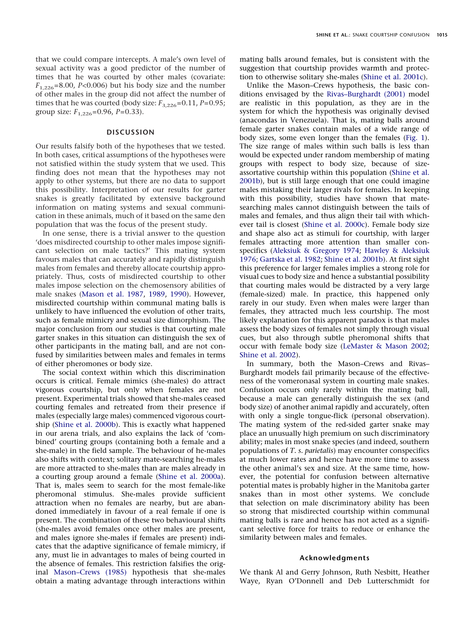that we could compare intercepts. A male's own level of sexual activity was a good predictor of the number of times that he was courted by other males (covariate:  $F_{1,226}$ =8.00, *P*<0.006) but his body size and the number of other males in the group did not affect the number of times that he was courted (body size:  $F_{3,226}$ =0.11, *P*=0.95; group size:  $F_{1,226}$ =0.96, *P*=0.33).

#### **DISCUSSION**

Our results falsify both of the hypotheses that we tested. In both cases, critical assumptions of the hypotheses were not satisfied within the study system that we used. This finding does not mean that the hypotheses may not apply to other systems, but there are no data to support this possibility. Interpretation of our results for garter snakes is greatly facilitated by extensive background information on mating systems and sexual communication in these animals, much of it based on the same den population that was the focus of the present study.

In one sense, there is a trivial answer to the question 'does misdirected courtship to other males impose significant selection on male tactics?' This mating system favours males that can accurately and rapidly distinguish males from females and thereby allocate courtship appropriately. Thus, costs of misdirected courtship to other males impose selection on the chemosensory abilities of male snakes [\(Mason et al. 1987,](#page-5-35) [1989,](#page-5-16) [1990\)](#page-5-36). However, misdirected courtship within communal mating balls is unlikely to have influenced the evolution of other traits, such as female mimicry and sexual size dimorphism. The major conclusion from our studies is that courting male garter snakes in this situation can distinguish the sex of other participants in the mating ball, and are not confused by similarities between males and females in terms of either pheromones or body size.

The social context within which this discrimination occurs is critical. Female mimics (she-males) do attract vigorous courtship, but only when females are not present. Experimental trials showed that she-males ceased courting females and retreated from their presence if males (especially large males) commenced vigorous courtship [\(Shine et al. 2000b\)](#page-5-32). This is exactly what happened in our arena trials, and also explains the lack of 'combined' courting groups (containing both a female and a she-male) in the field sample. The behaviour of he-males also shifts with context; solitary mate-searching he-males are more attracted to she-males than are males already in a courting group around a female [\(Shine et al. 2000a\)](#page-5-31). That is, males seem to search for the most female-like pheromonal stimulus. She-males provide sufficient attraction when no females are nearby, but are abandoned immediately in favour of a real female if one is present. The combination of these two behavioural shifts (she-males avoid females once other males are present, and males ignore she-males if females are present) indicates that the adaptive significance of female mimicry, if any, must lie in advantages to males of being courted in the absence of females. This restriction falsifies the original [Mason–Crews \(1985\)](#page-5-23) hypothesis that she-males obtain a mating advantage through interactions within mating balls around females, but is consistent with the suggestion that courtship provides warmth and protection to otherwise solitary she-males [\(Shine et al. 2001c\)](#page-6-6).

Unlike the Mason–Crews hypothesis, the basic conditions envisaged by the [Rivas–Burghardt \(2001\)](#page-5-22) model are realistic in this population, as they are in the system for which the hypothesis was originally devised (anacondas in Venezuela). That is, mating balls around female garter snakes contain males of a wide range of body sizes, some even longer than the females [\(Fig. 1\)](#page-3-0). The size range of males within such balls is less than would be expected under random membership of mating groups with respect to body size, because of sizeassortative courtship within this population [\(Shine et al.](#page-6-7) [2001b\)](#page-6-7), but is still large enough that one could imagine males mistaking their larger rivals for females. In keeping with this possibility, studies have shown that matesearching males cannot distinguish between the tails of males and females, and thus align their tail with whichever tail is closest [\(Shine et al. 2000c\)](#page-5-33). Female body size and shape also act as stimuli for courtship, with larger females attracting more attention than smaller conspecifics [\(Aleksiuk & Gregory 1974;](#page-5-37) [Hawley & Aleksiuk](#page-5-30) [1976;](#page-5-30) [Gartska et al. 1982;](#page-5-38) [Shine et al. 2001b\)](#page-6-7). At first sight this preference for larger females implies a strong role for visual cues to body size and hence a substantial possibility that courting males would be distracted by a very large (female-sized) male. In practice, this happened only rarely in our study. Even when males were larger than females, they attracted much less courtship. The most likely explanation for this apparent paradox is that males assess the body sizes of females not simply through visual cues, but also through subtle pheromonal shifts that occur with female body size [\(LeMaster & Mason 2002;](#page-5-2) [Shine et al. 2002\)](#page-6-8).

In summary, both the Mason–Crews and Rivas– Burghardt models fail primarily because of the effectiveness of the vomeronasal system in courting male snakes. Confusion occurs only rarely within the mating ball, because a male can generally distinguish the sex (and body size) of another animal rapidly and accurately, often with only a single tongue-flick (personal observation). The mating system of the red-sided garter snake may place an unusually high premium on such discriminatory ability; males in most snake species (and indeed, southern populations of *T. s. parietalis*) may encounter conspecifics at much lower rates and hence have more time to assess the other animal's sex and size. At the same time, however, the potential for confusion between alternative potential mates is probably higher in the Manitoba garter snakes than in most other systems. We conclude that selection on male discriminatory ability has been so strong that misdirected courtship within communal mating balls is rare and hence has not acted as a significant selective force for traits to reduce or enhance the similarity between males and females.

### **Acknowledgments**

We thank Al and Gerry Johnson, Ruth Nesbitt, Heather Waye, Ryan O'Donnell and Deb Lutterschmidt for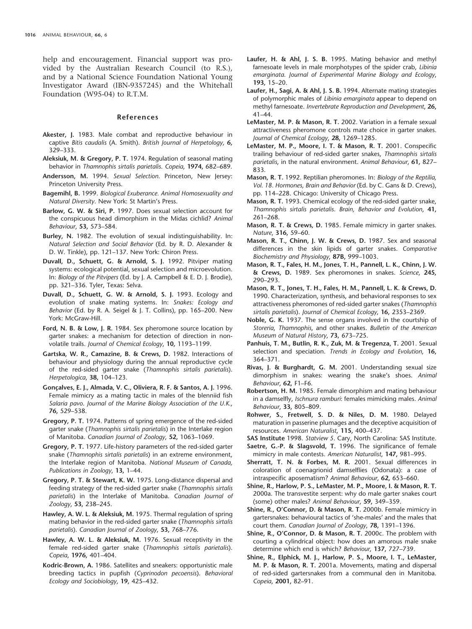help and encouragement. Financial support was provided by the Australian Research Council (to R.S.), and by a National Science Foundation National Young Investigator Award (IBN-9357245) and the Whitehall Foundation (W95-04) to R.T.M.

#### **References**

- <span id="page-5-21"></span>**Akester, J.** 1983. Male combat and reproductive behaviour in captive *Bitis caudalis* (A. Smith). *British Journal of Herpetology*, **6,** 329–333.
- <span id="page-5-37"></span>**Aleksiuk, M. & Gregory, P. T.** 1974. Regulation of seasonal mating behavior in *Thamnophis sirtalis parietalis*. *Copeia*, **1974,** 682–689.
- <span id="page-5-1"></span>**Andersson, M.** 1994. *Sexual Selection*. Princeton, New Jersey: Princeton University Press.
- <span id="page-5-11"></span>**Bagemihl, B.** 1999. *Biological Exuberance. Animal Homosexuality and Natural Diversity*. New York: St Martin's Press.
- <span id="page-5-12"></span>**Barlow, G. W. & Siri, P.** 1997. Does sexual selection account for the conspicuous head dimorphism in the Midas cichlid? *Animal Behaviour*, **53,** 573–584.
- <span id="page-5-3"></span>**Burley, N.** 1982. The evolution of sexual indistinguishability. In: *Natural Selection and Social Behavior* (Ed. by R. D. Alexander & D. W. Tinkle), pp. 121–137. New York: Chiron Press.
- <span id="page-5-14"></span>**Duvall, D., Schuett, G. & Arnold, S. J.** 1992. Pitviper mating systems: ecological potential, sexual selection and microevolution. In: *Biology of the Pitvipers* (Ed. by J. A. Campbell & E. D. J. Brodie), pp. 321–336. Tyler, Texas: Selva.
- <span id="page-5-15"></span>**Duvall, D., Schuett, G. W. & Arnold, S. J.** 1993. Ecology and evolution of snake mating systems. In: *Snakes: Ecology and Behavior* (Ed. by R. A. Seigel & J. T. Collins), pp. 165–200. New York: McGraw-Hill.
- <span id="page-5-18"></span>**Ford, N. B. & Low, J. R.** 1984. Sex pheromone source location by garter snakes: a mechanism for detection of direction in nonvolatile trails. *Journal of Chemical Ecology*, **10,** 1193–1199.
- <span id="page-5-38"></span>**Gartska, W. R., Camazine, B. & Crews, D.** 1982. Interactions of behaviour and physiology during the annual reproductive cycle of the red-sided garter snake (*Thamnophis sirtalis parietalis*). *Herpetologica*, **38,** 104–123.
- <span id="page-5-9"></span>Gonçalves, E. J., Almada, V. C., Oliviera, R. F. & Santos, A. J. 1996. Female mimicry as a mating tactic in males of the blenniid fish *Salaria pavo*. *Journal of the Marine Biology Association of the U.K.*, **76,** 529–538.
- <span id="page-5-24"></span>**Gregory, P. T.** 1974. Patterns of spring emergence of the red-sided garter snake (*Thamnophis sirtalis parietalis*) in the Interlake region of Manitoba. *Canadian Journal of Zoology*, **52,** 1063–1069.
- <span id="page-5-25"></span>**Gregory, P. T.** 1977. Life-history parameters of the red-sided garter snake (*Thamnophis sirtalis parietalis*) in an extreme environment, the Interlake region of Manitoba. *National Museum of Canada, Publications in Zoology*, **13,** 1–44.
- <span id="page-5-26"></span>**Gregory, P. T. & Stewart, K. W.** 1975. Long-distance dispersal and feeding strategy of the red-sided garter snake (*Thamnophis sirtalis parietalis*) in the Interlake of Manitoba. *Canadian Journal of Zoology*, **53,** 238–245.
- <span id="page-5-29"></span>**Hawley, A. W. L. & Aleksiuk, M.** 1975. Thermal regulation of spring mating behavior in the red-sided garter snake (*Thamnophis sirtalis parietalis*). *Canadian Journal of Zoology*, **53,** 768–776.
- <span id="page-5-30"></span>**Hawley, A. W. L. & Aleksiuk, M.** 1976. Sexual receptivity in the female red-sided garter snake (*Thamnophis sirtalis parietalis*). *Copeia*, **1976,** 401–404.
- <span id="page-5-6"></span>**Kodric-Brown, A.** 1986. Satellites and sneakers: opportunistic male breeding tactics in pupfish (*Cyprinodon pecoensis*). *Behavioral Ecology and Sociobiology*, **19,** 425–432.
- <span id="page-5-8"></span>**Laufer, H. & Ahl, J. S. B.** 1995. Mating behavior and methyl farnesoate levels in male morphotypes of the spider crab, *Libinia emarginata*. *Journal of Experimental Marine Biology and Ecology*, **193,** 15–20.
- <span id="page-5-7"></span>**Laufer, H., Sagi, A. & Ahl, J. S. B.** 1994. Alternate mating strategies of polymorphic males of *Libinia emarginata* appear to depend on methyl farnesoate. *Invertebrate Reproduction and Development*, **26,** 41–44.
- <span id="page-5-2"></span>**LeMaster, M. P. & Mason, R. T.** 2002. Variation in a female sexual attractiveness pheromone controls mate choice in garter snakes. *Journal of Chemical Ecology*, **28,** 1269–1285.
- <span id="page-5-19"></span>**LeMaster, M. P., Moore, I. T. & Mason, R. T.** 2001. Conspecific trailing behaviour of red-sided garter snakes, *Thamnophis sirtalis parietalis*, in the natural environment. *Animal Behaviour*, **61,** 827– 833.
- <span id="page-5-17"></span>**Mason, R. T.** 1992. Reptilian pheromones. In: *Biology of the Reptilia, Vol. 18. Hormones, Brain and Behavior* (Ed. by C. Gans & D. Crews), pp. 114–228. Chicago: University of Chicago Press.
- <span id="page-5-27"></span>**Mason, R. T.** 1993. Chemical ecology of the red-sided garter snake, *Thamnophis sirtalis parietalis*. *Brain, Behavior and Evolution*, **41,** 261–268.
- <span id="page-5-23"></span>**Mason, R. T. & Crews, D.** 1985. Female mimicry in garter snakes. *Nature*, **316,** 59–60.
- <span id="page-5-35"></span>**Mason, R. T., Chinn, J. W. & Crews, D.** 1987. Sex and seasonal differences in the skin lipids of garter snakes. *Comparative Biochemistry and Physiology*, **87B,** 999–1003.
- <span id="page-5-16"></span>**Mason, R. T., Fales, H. M., Jones, T. H., Pannell, L. K., Chinn, J. W. & Crews, D.** 1989. Sex pheromones in snakes. *Science*, **245,** 290–293.
- <span id="page-5-36"></span>**Mason, R. T., Jones, T. H., Fales, H. M., Pannell, L. K. & Crews, D.** 1990. Characterization, synthesis, and behavioral responses to sex attractiveness pheromones of red-sided garter snakes (*Thamnophis sirtalis parietalis*). *Journal of Chemical Ecology*, **16,** 2353–2369.
- <span id="page-5-20"></span>**Noble, G. K.** 1937. The sense organs involved in the courtship of *Storeria*, *Thamnophis*, and other snakes. *Bulletin of the American Museum of Natural History*, **73,** 673–725.
- <span id="page-5-0"></span>**Panhuis, T. M., Butlin, R. K., Zuk, M. & Tregenza, T.** 2001. Sexual selection and speciation. *Trends in Ecology and Evolution*, **16,** 364–371.
- <span id="page-5-22"></span>**Rivas, J. & Burghardt, G. M.** 2001. Understanding sexual size dimorphism in snakes: wearing the snake's shoes. *Animal Behaviour*, **62,** F1–F6.
- <span id="page-5-4"></span>**Robertson, H. M.** 1985. Female dimorphism and mating behaviour in a damselfly, *Ischnura ramburi*: females mimicking males. *Animal Behaviour*, **33,** 805–809.
- <span id="page-5-5"></span>**Rohwer, S., Fretwell, S. D. & Niles, D. M.** 1980. Delayed maturation in passerine plumages and the deceptive acquisition of resources. *American Naturalist*, **115,** 400–437.
- <span id="page-5-34"></span>**SAS Institute** 1998. *Statview 5*. Cary, North Carolina: SAS Institute.
- <span id="page-5-10"></span>**Saetre, G.-P. & Slagsvold, T.** 1996. The significance of female mimicry in male contests. *American Naturalist*, **147,** 981–995.
- <span id="page-5-13"></span>**Sherratt, T. N. & Forbes, M. R.** 2001. Sexual differences in coloration of coenagrionid damselflies (Odonata): a case of intraspecific aposematism? *Animal Behaviour*, **62,** 653–660.
- <span id="page-5-31"></span>**Shine, R., Harlow, P. S., LeMaster, M. P., Moore, I. & Mason, R. T.** 2000a. The transvestite serpent: why do male garter snakes court (some) other males? *Animal Behaviour*, **59,** 349–359.
- <span id="page-5-32"></span>**Shine, R., O'Connor, D. & Mason, R. T.** 2000b. Female mimicry in gartersnakes: behavioural tactics of 'she-males' and the males that court them. *Canadian Journal of Zoology*, **78,** 1391–1396.
- <span id="page-5-33"></span>**Shine, R., O'Connor, D. & Mason, R. T.** 2000c. The problem with courting a cylindrical object: how does an amorous male snake determine which end is which? *Behaviour*, **137,** 727–739.
- <span id="page-5-28"></span>**Shine, R., Elphick, M. J., Harlow, P. S., Moore, I. T., LeMaster, M. P. & Mason, R. T.** 2001a. Movements, mating and dispersal of red-sided gartersnakes from a communal den in Manitoba. *Copeia*, **2001,** 82–91.